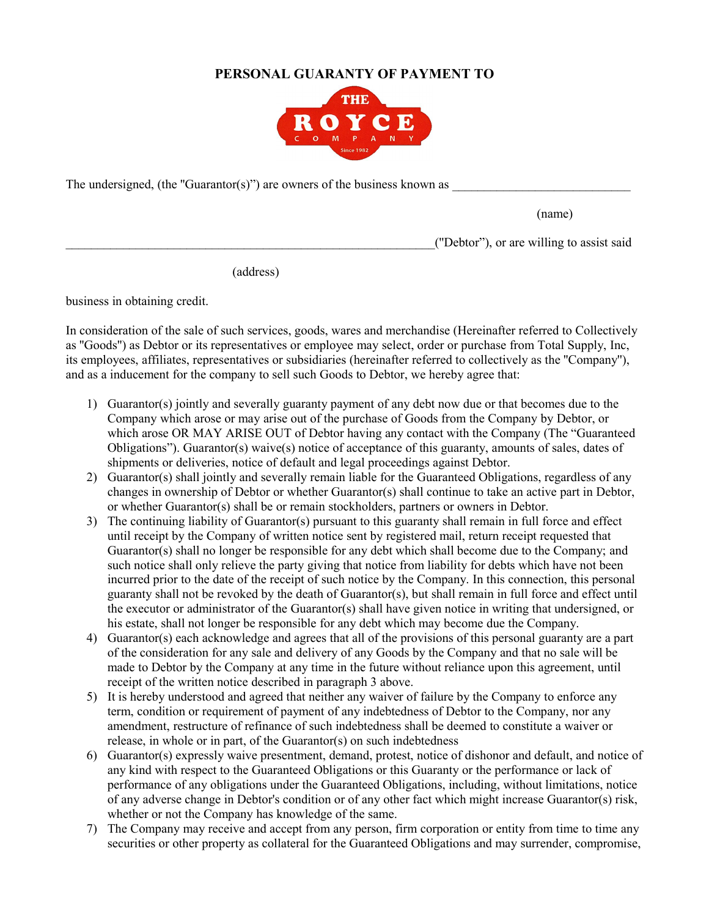## **PERSONAL GUARANTY OF PAYMENT TO**



The undersigned, (the "Guarantor(s)") are owners of the business known as

(name)

\_\_\_\_\_\_\_\_\_\_\_\_\_\_\_\_\_\_\_\_\_\_\_\_\_\_\_\_\_\_\_\_\_\_\_\_\_\_\_\_\_\_\_\_\_\_\_\_\_\_\_\_\_\_\_\_\_\_(''Debtor"), or are willing to assist said

(address)

business in obtaining credit.

In consideration of the sale of such services, goods, wares and merchandise (Hereinafter referred to Collectively as ''Goods'') as Debtor or its representatives or employee may select, order or purchase from Total Supply, Inc, its employees, affiliates, representatives or subsidiaries (hereinafter referred to collectively as the ''Company''), and as a inducement for the company to sell such Goods to Debtor, we hereby agree that:

- 1) Guarantor(s) jointly and severally guaranty payment of any debt now due or that becomes due to the Company which arose or may arise out of the purchase of Goods from the Company by Debtor, or which arose OR MAY ARISE OUT of Debtor having any contact with the Company (The "Guaranteed Obligations"). Guarantor(s) waive(s) notice of acceptance of this guaranty, amounts of sales, dates of shipments or deliveries, notice of default and legal proceedings against Debtor.
- 2) Guarantor(s) shall jointly and severally remain liable for the Guaranteed Obligations, regardless of any changes in ownership of Debtor or whether Guarantor(s) shall continue to take an active part in Debtor, or whether Guarantor(s) shall be or remain stockholders, partners or owners in Debtor.
- 3) The continuing liability of Guarantor(s) pursuant to this guaranty shall remain in full force and effect until receipt by the Company of written notice sent by registered mail, return receipt requested that Guarantor(s) shall no longer be responsible for any debt which shall become due to the Company; and such notice shall only relieve the party giving that notice from liability for debts which have not been incurred prior to the date of the receipt of such notice by the Company. In this connection, this personal guaranty shall not be revoked by the death of Guarantor(s), but shall remain in full force and effect until the executor or administrator of the Guarantor(s) shall have given notice in writing that undersigned, or his estate, shall not longer be responsible for any debt which may become due the Company.
- 4) Guarantor(s) each acknowledge and agrees that all of the provisions of this personal guaranty are a part of the consideration for any sale and delivery of any Goods by the Company and that no sale will be made to Debtor by the Company at any time in the future without reliance upon this agreement, until receipt of the written notice described in paragraph 3 above.
- 5) It is hereby understood and agreed that neither any waiver of failure by the Company to enforce any term, condition or requirement of payment of any indebtedness of Debtor to the Company, nor any amendment, restructure of refinance of such indebtedness shall be deemed to constitute a waiver or release, in whole or in part, of the Guarantor(s) on such indebtedness
- 6) Guarantor(s) expressly waive presentment, demand, protest, notice of dishonor and default, and notice of any kind with respect to the Guaranteed Obligations or this Guaranty or the performance or lack of performance of any obligations under the Guaranteed Obligations, including, without limitations, notice of any adverse change in Debtor's condition or of any other fact which might increase Guarantor(s) risk, whether or not the Company has knowledge of the same.
- 7) The Company may receive and accept from any person, firm corporation or entity from time to time any securities or other property as collateral for the Guaranteed Obligations and may surrender, compromise,